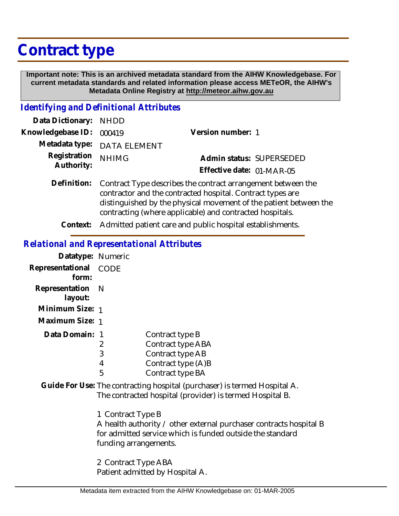# **Contract type**

 **Important note: This is an archived metadata standard from the AIHW Knowledgebase. For current metadata standards and related information please access METeOR, the AIHW's Metadata Online Registry at http://meteor.aihw.gov.au**

#### *Identifying and Definitional Attributes*

| Data Dictionary: NHDD      |                                                                                                                                                                                                                                                                         |                           |                          |
|----------------------------|-------------------------------------------------------------------------------------------------------------------------------------------------------------------------------------------------------------------------------------------------------------------------|---------------------------|--------------------------|
| Knowledgebase ID:          | 000419                                                                                                                                                                                                                                                                  | Version number: 1         |                          |
|                            | Metadata type: DATA ELEMENT                                                                                                                                                                                                                                             |                           |                          |
| Registration<br>Authority: | <b>NHIMG</b>                                                                                                                                                                                                                                                            |                           | Admin status: SUPERSEDED |
|                            |                                                                                                                                                                                                                                                                         | Effective date: 01-MAR-05 |                          |
|                            | Definition: Contract Type describes the contract arrangement between the<br>contractor and the contracted hospital. Contract types are<br>distinguished by the physical movement of the patient between the<br>contracting (where applicable) and contracted hospitals. |                           |                          |

**Context:** Admitted patient care and public hospital establishments.

#### *Relational and Representational Attributes*

| Datatype: Numeric |                    |
|-------------------|--------------------|
| <b>CODE</b>       |                    |
| Representation N  |                    |
| Minimum Size: 1   |                    |
| Maximum Size: 1   |                    |
| Data Domain: 1    | Contract type B    |
| 2                 | Contract type ABA  |
| 3                 | Contract type AB   |
| 4                 | Contract type (A)B |
|                   | Contract type BA   |
|                   |                    |

#### Guide For Use: The contracting hospital (purchaser) is termed Hospital A. The contracted hospital (provider) is termed Hospital B.

1 Contract Type B A health authority / other external purchaser contracts hospital B for admitted service which is funded outside the standard funding arrangements.

2 Contract Type ABA Patient admitted by Hospital A.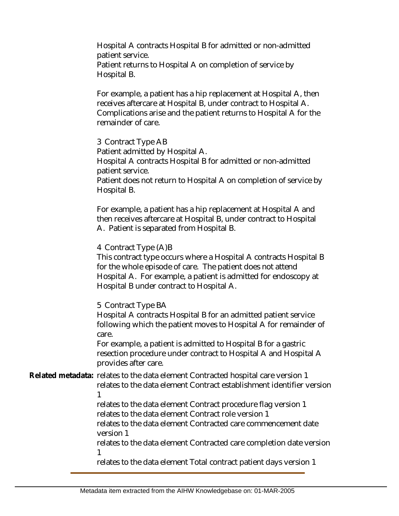Hospital A contracts Hospital B for admitted or non-admitted patient service.

Patient returns to Hospital A on completion of service by Hospital B.

For example, a patient has a hip replacement at Hospital A, then receives aftercare at Hospital B, under contract to Hospital A. Complications arise and the patient returns to Hospital A for the remainder of care.

3 Contract Type AB Patient admitted by Hospital A. Hospital A contracts Hospital B for admitted or non-admitted patient service.

Patient does not return to Hospital A on completion of service by Hospital B.

For example, a patient has a hip replacement at Hospital A and then receives aftercare at Hospital B, under contract to Hospital A. Patient is separated from Hospital B.

#### 4 Contract Type (A)B

This contract type occurs where a Hospital A contracts Hospital B for the whole episode of care. The patient does not attend Hospital A. For example, a patient is admitted for endoscopy at Hospital B under contract to Hospital A.

5 Contract Type BA

Hospital A contracts Hospital B for an admitted patient service following which the patient moves to Hospital A for remainder of care.

For example, a patient is admitted to Hospital B for a gastric resection procedure under contract to Hospital A and Hospital A provides after care.

Related metadata: relates to the data element Contracted hospital care version 1 relates to the data element Contract establishment identifier version 1

relates to the data element Contract procedure flag version 1 relates to the data element Contract role version 1 relates to the data element Contracted care commencement date

version 1

relates to the data element Contracted care completion date version 1

relates to the data element Total contract patient days version 1